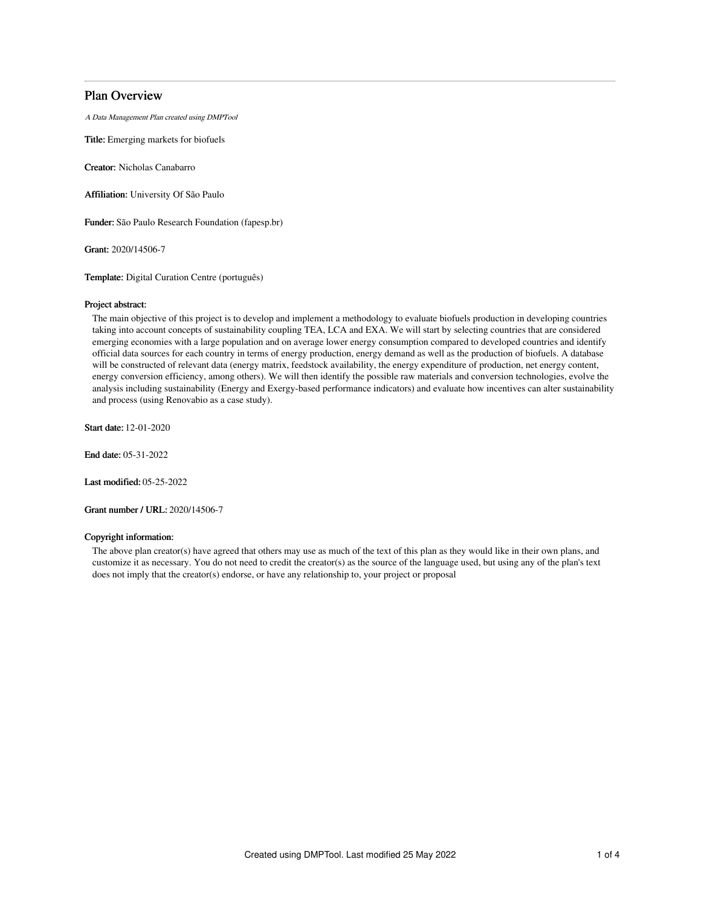# Plan Overview

A Data Management Plan created using DMPTool

Title: Emerging markets for biofuels

Creator: Nicholas Canabarro

Affiliation: University Of São Paulo

Funder: São Paulo Research Foundation (fapesp.br)

Grant: 2020/14506-7

Template: Digital Curation Centre (português)

## Project abstract:

The main objective of this project is to develop and implement a methodology to evaluate biofuels production in developing countries taking into account concepts of sustainability coupling TEA, LCA and EXA. We will start by selecting countries that are considered emerging economies with a large population and on average lower energy consumption compared to developed countries and identify official data sources for each country in terms of energy production, energy demand as well as the production of biofuels. A database will be constructed of relevant data (energy matrix, feedstock availability, the energy expenditure of production, net energy content, energy conversion efficiency, among others). We will then identify the possible raw materials and conversion technologies, evolve the analysis including sustainability (Energy and Exergy-based performance indicators) and evaluate how incentives can alter sustainability and process (using Renovabio as a case study).

Start date: 12-01-2020

End date: 05-31-2022

Last modified: 05-25-2022

Grant number / URL: 2020/14506-7

# Copyright information:

The above plan creator(s) have agreed that others may use as much of the text of this plan as they would like in their own plans, and customize it as necessary. You do not need to credit the creator(s) as the source of the language used, but using any of the plan's text does not imply that the creator(s) endorse, or have any relationship to, your project or proposal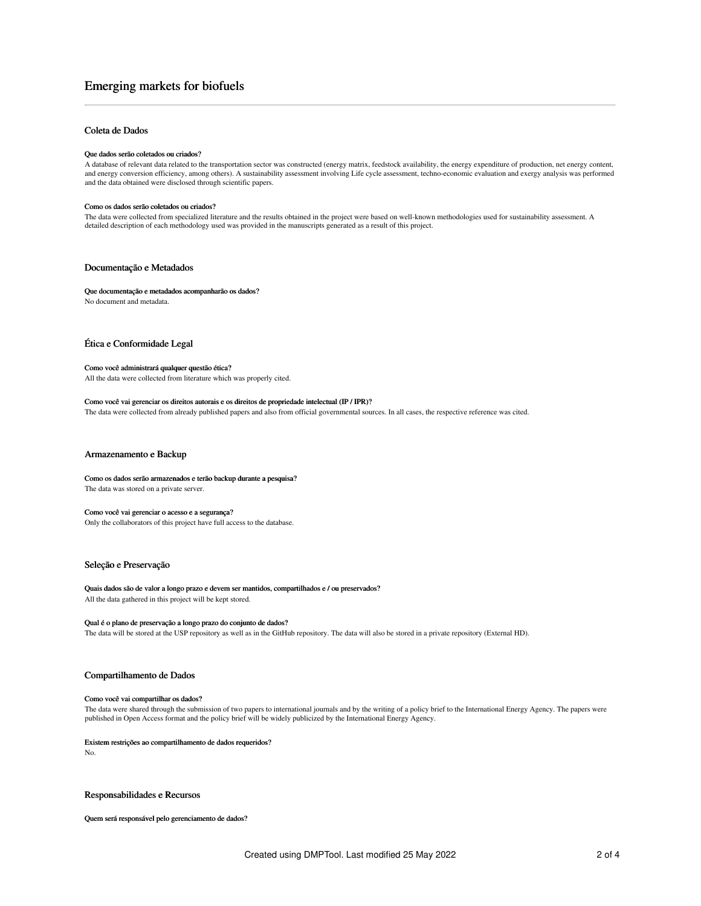# Emerging markets for biofuels

## Coleta de Dados

#### Que dados serão coletados ou criados?

A database of relevant data related to the transportation sector was constructed (energy matrix, feedstock availability, the energy expenditure of production, net energy content, and energy conversion efficiency, among others). A sustainability assessment involving Life cycle assessment, techno-economic evaluation and exergy analysis was performed and the data obtained were disclosed through scientific papers.

#### Como os dados serão coletados ou criados?

The data were collected from specialized literature and the results obtained in the project were based on well-known methodologies used for sustainability assessment. A detailed description of each methodology used was provided in the manuscripts generated as a result of this project.

### Documentação e Metadados

Que documentação e metadados acompanharão os dados? No document and metadata.

### Ética e Conformidade Legal

### Como você administrará qualquer questão ética? All the data were collected from literature which was properly cited.

# Como você vai gerenciar os direitos autorais e os direitos de propriedade intelectual (IP / IPR)?

The data were collected from already published papers and also from official governmental sources. In all cases, the respective reference was cited.

## Armazenamento e Backup

Como os dados serão armazenados e terão backup durante a pesquisa? The data was stored on a private server.

#### Como você vai gerenciar o acesso e a segurança?

Only the collaborators of this project have full access to the database.

# Seleção e Preservação

Quais dados são de valor a longo prazo e devem ser mantidos, compartilhados e / ou preservados? All the data gathered in this project will be kept stored.

#### Qual é o plano de preservação a longo prazo do conjunto de dados?

The data will be stored at the USP repository as well as in the GitHub repository. The data will also be stored in a private repository (External HD).

### Compartilhamento de Dados

#### Como você vai compartilhar os dados?

The data were shared through the submission of two papers to international journals and by the writing of a policy brief to the International Energy Agency. The papers were published in Open Access format and the policy brief will be widely publicized by the International Energy Agency.

#### Existem restrições ao compartilhamento de dados requeridos?

No.

## Responsabilidades e Recursos

Quem será responsável pelo gerenciamento de dados?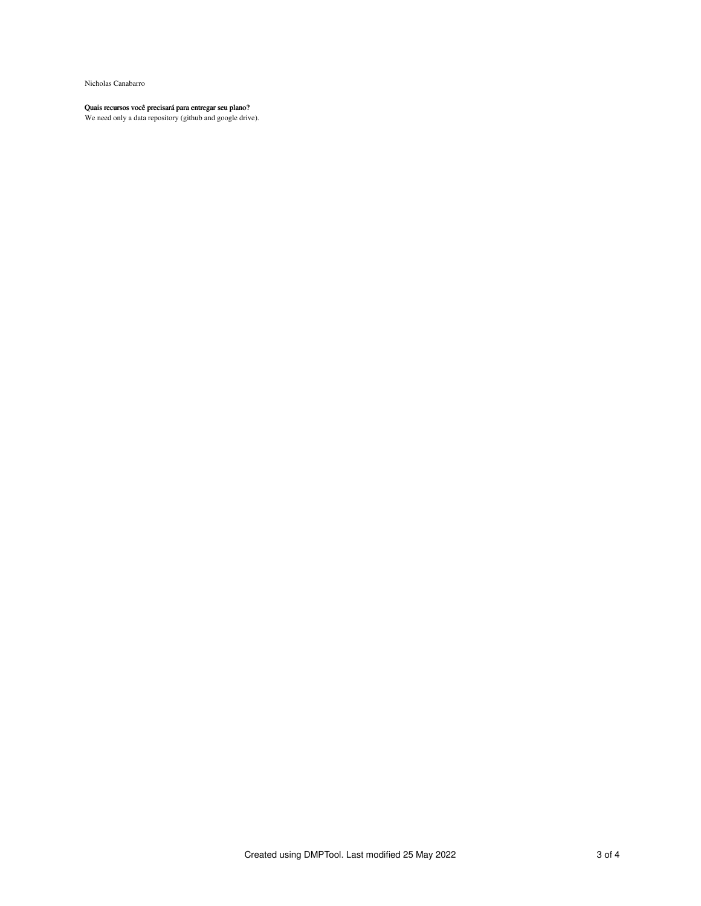Nicholas Canabarro

#### Quais recursos você precisará para entregar seu plano?

We need only a data repository (github and google drive).